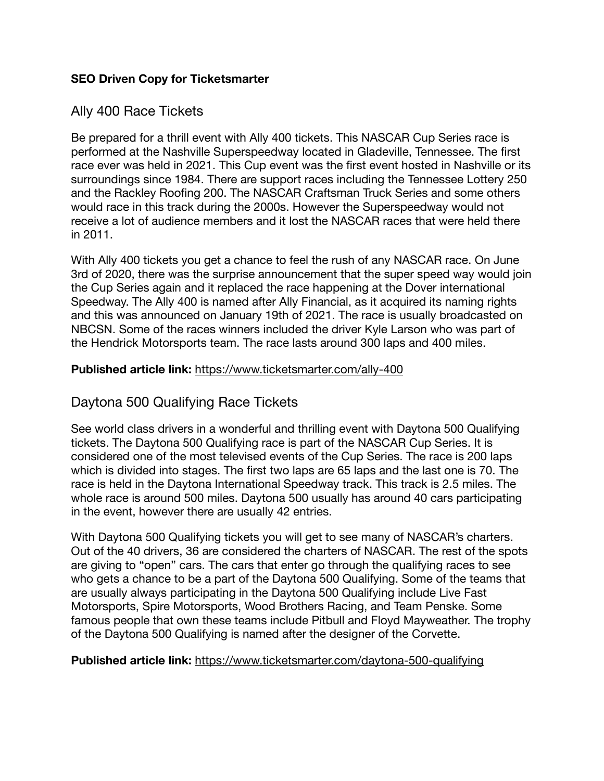### **SEO Driven Copy for Ticketsmarter**

## Ally 400 Race Tickets

Be prepared for a thrill event with Ally 400 tickets. This NASCAR Cup Series race is performed at the Nashville Superspeedway located in Gladeville, Tennessee. The first race ever was held in 2021. This Cup event was the first event hosted in Nashville or its surroundings since 1984. There are support races including the Tennessee Lottery 250 and the Rackley Roofing 200. The NASCAR Craftsman Truck Series and some others would race in this track during the 2000s. However the Superspeedway would not receive a lot of audience members and it lost the NASCAR races that were held there in 2011.

With Ally 400 tickets you get a chance to feel the rush of any NASCAR race. On June 3rd of 2020, there was the surprise announcement that the super speed way would join the Cup Series again and it replaced the race happening at the Dover international Speedway. The Ally 400 is named after Ally Financial, as it acquired its naming rights and this was announced on January 19th of 2021. The race is usually broadcasted on NBCSN. Some of the races winners included the driver Kyle Larson who was part of the Hendrick Motorsports team. The race lasts around 300 laps and 400 miles.

### **Published article link:** <https://www.ticketsmarter.com/ally-400>

## Daytona 500 Qualifying Race Tickets

See world class drivers in a wonderful and thrilling event with Daytona 500 Qualifying tickets. The Daytona 500 Qualifying race is part of the NASCAR Cup Series. It is considered one of the most televised events of the Cup Series. The race is 200 laps which is divided into stages. The first two laps are 65 laps and the last one is 70. The race is held in the Daytona International Speedway track. This track is 2.5 miles. The whole race is around 500 miles. Daytona 500 usually has around 40 cars participating in the event, however there are usually 42 entries.

With Daytona 500 Qualifying tickets you will get to see many of NASCAR's charters. Out of the 40 drivers, 36 are considered the charters of NASCAR. The rest of the spots are giving to "open" cars. The cars that enter go through the qualifying races to see who gets a chance to be a part of the Daytona 500 Qualifying. Some of the teams that are usually always participating in the Daytona 500 Qualifying include Live Fast Motorsports, Spire Motorsports, Wood Brothers Racing, and Team Penske. Some famous people that own these teams include Pitbull and Floyd Mayweather. The trophy of the Daytona 500 Qualifying is named after the designer of the Corvette.

#### **Published article link:** <https://www.ticketsmarter.com/daytona-500-qualifying>